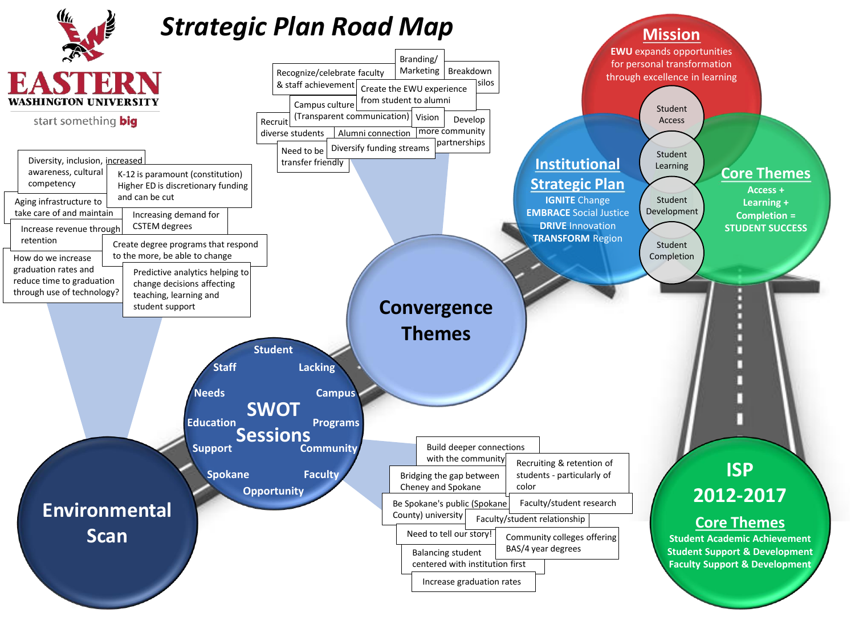